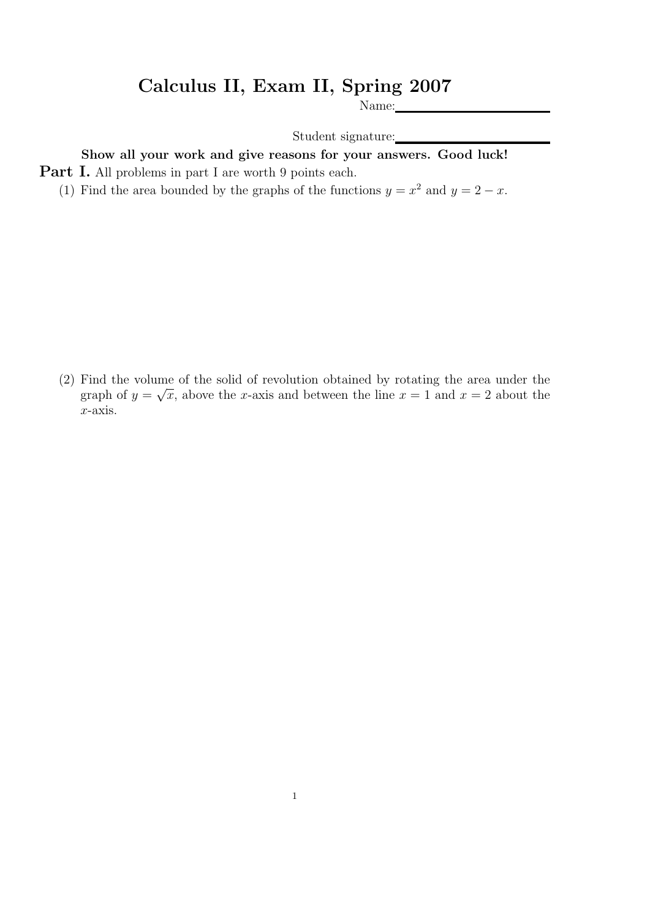## Calculus II, Exam II, Spring 2007

Name:

Student signature:

## Show all your work and give reasons for your answers. Good luck!

**Part I.** All problems in part I are worth 9 points each.

(1) Find the area bounded by the graphs of the functions  $y = x^2$  and  $y = 2 - x$ .

(2) Find the volume of the solid of revolution obtained by rotating the area under the graph of  $y = \sqrt{x}$ , above the x-axis and between the line  $x = 1$  and  $x = 2$  about the x-axis.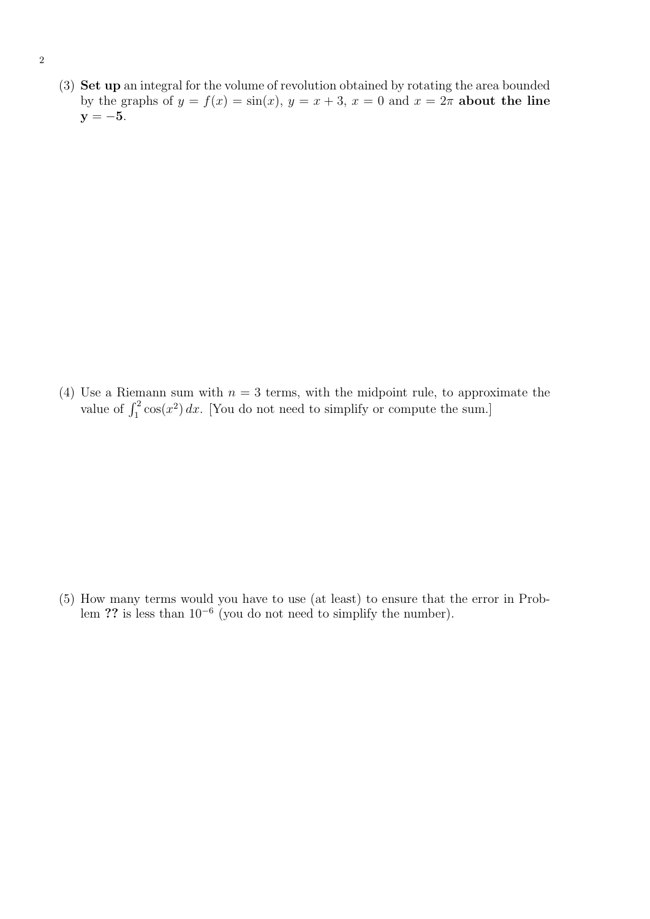(3) Set up an integral for the volume of revolution obtained by rotating the area bounded by the graphs of  $y = f(x) = \sin(x)$ ,  $y = x + 3$ ,  $x = 0$  and  $x = 2\pi$  about the line  $y = -5$ .

(4) Use a Riemann sum with  $n = 3$  terms, with the midpoint rule, to approximate the value of  $\int_1^2 \cos(x^2) dx$ . [You do not need to simplify or compute the sum.]

(5) How many terms would you have to use (at least) to ensure that the error in Problem ?? is less than  $10^{-6}$  (you do not need to simplify the number).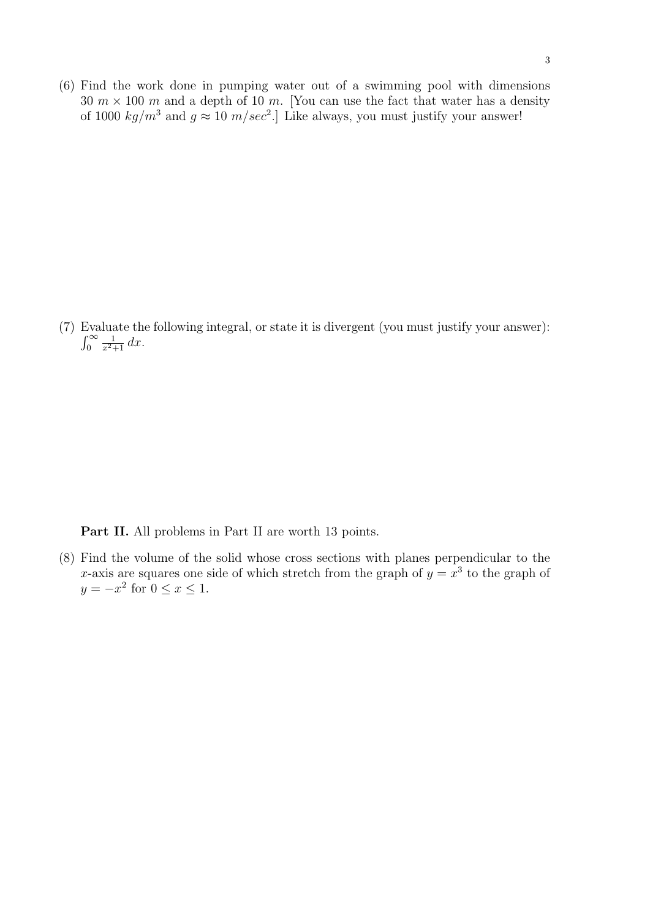(6) Find the work done in pumping water out of a swimming pool with dimensions 30  $m \times 100$  m and a depth of 10 m. [You can use the fact that water has a density of 1000  $kg/m^3$  and  $g \approx 10 \ m/sec^2$ . Like always, you must justify your answer!

(7) Evaluate the following integral, or state it is divergent (you must justify your answer):  $\int_0^\infty$  $\frac{1}{x^2+1} dx$ .

Part II. All problems in Part II are worth 13 points.

(8) Find the volume of the solid whose cross sections with planes perpendicular to the x-axis are squares one side of which stretch from the graph of  $y = x^3$  to the graph of  $y = -x^2$  for  $0 \le x \le 1$ .